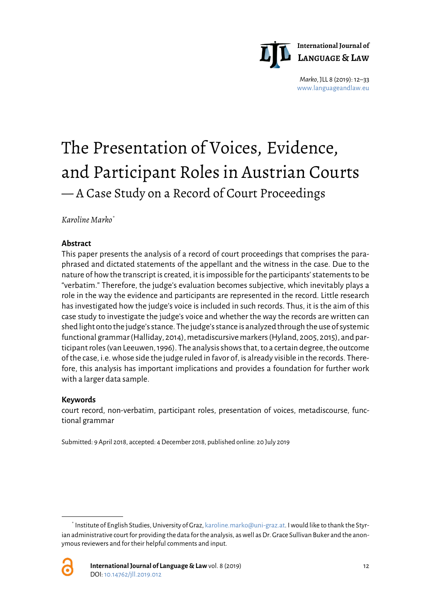

*Marko*, JLL 8 (2019): 12–33 [www.languageandlaw.eu](http://www.languageandlaw.eu/)

# The Presentation of Voices, Evidence, and Participant Roles in Austrian Courts — A Case Study on a Record of Court Proceedings

*Karoline Marko[\\*](#page-0-0)*

#### **Abstract**

This paper presents the analysis of a record of court proceedings that comprises the paraphrased and dictated statements of the appellant and the witness in the case. Due to the nature of how the transcript is created, it is impossible for the participants' statements to be "verbatim." Therefore, the judge's evaluation becomes subjective, which inevitably plays a role in the way the evidence and participants are represented in the record. Little research has investigated how the judge's voice is included in such records. Thus, it is the aim of this case study to investigate the judge's voice and whether the way the records are written can shed light onto the judge's stance. The judge's stance is analyzed through the use of systemic functional grammar (Halliday, 2014), metadiscursive markers (Hyland, 2005, 2015), and participant roles (van Leeuwen, 1996). The analysis shows that, to a certain degree, the outcome of the case, i.e. whose side the judge ruled in favor of, is already visible in the records. Therefore, this analysis has important implications and provides a foundation for further work with a larger data sample.

#### **Keywords**

court record, non-verbatim, participant roles, presentation of voices, metadiscourse, functional grammar

Submitted: 9 April 2018, accepted: 4December 2018, published online: 20 July 2019

<span id="page-0-0"></span> <sup>\*</sup> Institute of English Studies, University of Graz[, karoline.marko@uni-graz.at.](mailto:karoline.marko@uni-graz.at) I would like to thank the Styrian administrative court for providing the data for the analysis, as well as Dr. Grace Sullivan Buker and the anonymous reviewers and for their helpful comments and input.

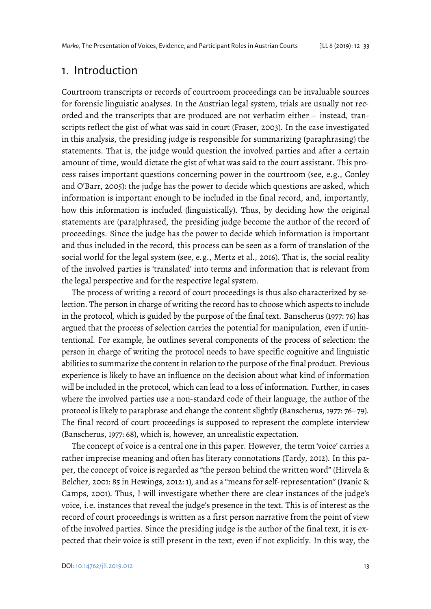# 1. Introduction

Courtroom transcripts or records of courtroom proceedings can be invaluable sources for forensic linguistic analyses. In the Austrian legal system, trials are usually not recorded and the transcripts that are produced are not verbatim either – instead, transcripts reflect the gist of what was said in court (Fraser, 2003). In the case investigated in this analysis, the presiding judge is responsible for summarizing (paraphrasing) the statements. That is, the judge would question the involved parties and after a certain amount of time, would dictate the gist of what was said to the court assistant. This process raises important questions concerning power in the courtroom (see, e.g., Conley and O'Barr, 2005): the judge has the power to decide which questions are asked, which information is important enough to be included in the final record, and, importantly, how this information is included (linguistically). Thus, by deciding how the original statements are (para)phrased, the presiding judge become the author of the record of proceedings. Since the judge has the power to decide which information is important and thus included in the record, this process can be seen as a form of translation of the social world for the legal system (see, e.g., Mertz et al., 2016). That is, the social reality of the involved parties is 'translated' into terms and information that is relevant from the legal perspective and for the respective legal system.

The process of writing a record of court proceedings is thus also characterized by selection. The person in charge of writing the record has to choose which aspects to include in the protocol, which is guided by the purpose of the final text. Banscherus (1977: 76) has argued that the process of selection carries the potential for manipulation, even if unintentional. For example, he outlines several components of the process of selection: the person in charge of writing the protocol needs to have specific cognitive and linguistic abilities to summarize the content in relation to the purpose of the final product. Previous experience is likely to have an influence on the decision about what kind of information will be included in the protocol, which can lead to a loss of information. Further, in cases where the involved parties use a non-standard code of their language, the author of the protocol is likely to paraphrase and change the content slightly (Banscherus, 1977: 76– 79). The final record of court proceedings is supposed to represent the complete interview (Banscherus, 1977: 68), which is, however, an unrealistic expectation.

The concept of voice is a central one in this paper. However, the term 'voice' carries a rather imprecise meaning and often has literary connotations (Tardy, 2012). In this paper, the concept of voice is regarded as "the person behind the written word" (Hirvela & Belcher, 2001: 85 in Hewings, 2012: 1), and as a "means for self-representation" (Ivanic & Camps, 2001). Thus, I will investigate whether there are clear instances of the judge's voice, i.e. instances that reveal the judge's presence in the text. This is of interest as the record of court proceedings is written as a first person narrative from the point of view of the involved parties. Since the presiding judge is the author of the final text, it is expected that their voice is still present in the text, even if not explicitly. In this way, the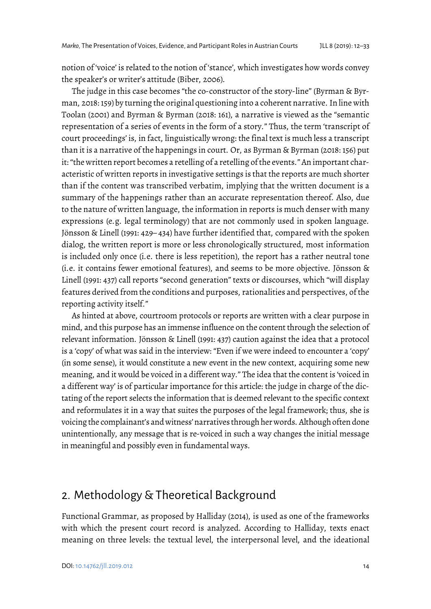notion of 'voice' is related to the notion of 'stance', which investigates how words convey the speaker's or writer's attitude (Biber, 2006).

The judge in this case becomes "the co-constructor of the story-line" (Byrman & Byrman, 2018: 159) by turning the original questioning into a coherent narrative. In line with Toolan (2001) and Byrman & Byrman (2018: 161), a narrative is viewed as the "semantic representation of a series of events in the form of a story." Thus, the term 'transcript of court proceedings' is, in fact, linguistically wrong: the final text is much less a transcript than it is a narrative of the happenings in court. Or, as Byrman & Byrman (2018: 156) put it: "the written report becomes a retelling of a retelling of the events." An important characteristic of written reports in investigative settings is that the reports are much shorter than if the content was transcribed verbatim, implying that the written document is a summary of the happenings rather than an accurate representation thereof. Also, due to the nature of written language, the information in reports is much denser with many expressions (e.g. legal terminology) that are not commonly used in spoken language. Jönsson & Linell (1991: 429– 434) have further identified that, compared with the spoken dialog, the written report is more or less chronologically structured, most information is included only once (i.e. there is less repetition), the report has a rather neutral tone (i.e. it contains fewer emotional features), and seems to be more objective. Jönsson & Linell (1991: 437) call reports "second generation" texts or discourses, which "will display features derived from the conditions and purposes, rationalities and perspectives, of the reporting activity itself."

As hinted at above, courtroom protocols or reports are written with a clear purpose in mind, and this purpose has an immense influence on the content through the selection of relevant information. Jönsson & Linell (1991: 437) caution against the idea that a protocol is a 'copy' of what was said in the interview: "Even if we were indeed to encounter a 'copy' (in some sense), it would constitute a new event in the new context, acquiring some new meaning, and it would be voiced in a different way." The idea that the content is 'voiced in a different way' is of particular importance for this article: the judge in charge of the dictating of the report selects the information that is deemed relevant to the specific context and reformulates it in a way that suites the purposes of the legal framework; thus, she is voicing the complainant's and witness' narratives through her words. Although often done unintentionally, any message that is re-voiced in such a way changes the initial message in meaningful and possibly even in fundamental ways.

# 2. Methodology & Theoretical Background

Functional Grammar, as proposed by Halliday (2014), is used as one of the frameworks with which the present court record is analyzed. According to Halliday, texts enact meaning on three levels: the textual level, the interpersonal level, and the ideational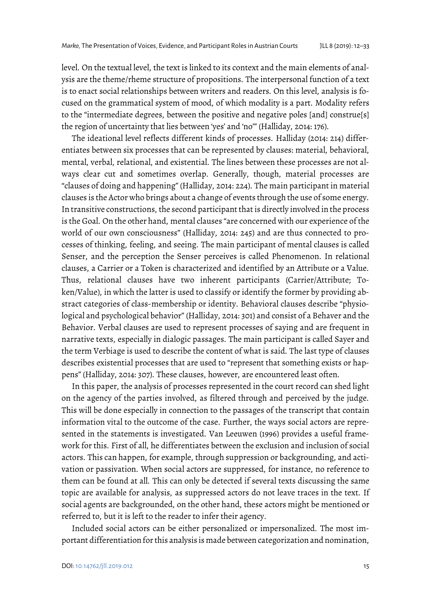level. On the textual level, the text is linked to its context and the main elements of analysis are the theme/rheme structure of propositions. The interpersonal function of a text is to enact social relationships between writers and readers. On this level, analysis is focused on the grammatical system of mood, of which modality is a part. Modality refers to the "intermediate degrees, between the positive and negative poles [and] construe[s] the region of uncertainty that lies between 'yes' and 'no'" (Halliday, 2014: 176).

The ideational level reflects different kinds of processes. Halliday (2014: 214) differentiates between six processes that can be represented by clauses: material, behavioral, mental, verbal, relational, and existential. The lines between these processes are not always clear cut and sometimes overlap. Generally, though, material processes are "clauses of doing and happening" (Halliday, 2014: 224). The main participant in material clauses is the Actor who brings about a change of events through the use of some energy. In transitive constructions, the second participant that is directly involved in the process is the Goal. On the other hand, mental clauses "are concerned with our experience of the world of our own consciousness" (Halliday, 2014: 245) and are thus connected to processes of thinking, feeling, and seeing. The main participant of mental clauses is called Senser, and the perception the Senser perceives is called Phenomenon. In relational clauses, a Carrier or a Token is characterized and identified by an Attribute or a Value. Thus, relational clauses have two inherent participants (Carrier/Attribute; Token/Value), in which the latter is used to classify or identify the former by providing abstract categories of class-membership or identity. Behavioral clauses describe "physiological and psychological behavior" (Halliday, 2014: 301) and consist of a Behaver and the Behavior. Verbal clauses are used to represent processes of saying and are frequent in narrative texts, especially in dialogic passages. The main participant is called Sayer and the term Verbiage is used to describe the content of what is said. The last type of clauses describes existential processes that are used to "represent that something exists or happens" (Halliday, 2014: 307). These clauses, however, are encountered least often.

In this paper, the analysis of processes represented in the court record can shed light on the agency of the parties involved, as filtered through and perceived by the judge. This will be done especially in connection to the passages of the transcript that contain information vital to the outcome of the case. Further, the ways social actors are represented in the statements is investigated. Van Leeuwen (1996) provides a useful framework for this. First of all, he differentiates between the exclusion and inclusion of social actors. This can happen, for example, through suppression or backgrounding, and activation or passivation. When social actors are suppressed, for instance, no reference to them can be found at all. This can only be detected if several texts discussing the same topic are available for analysis, as suppressed actors do not leave traces in the text. If social agents are backgrounded, on the other hand, these actors might be mentioned or referred to, but it is left to the reader to infer their agency.

Included social actors can be either personalized or impersonalized. The most important differentiation for this analysis is made between categorization and nomination,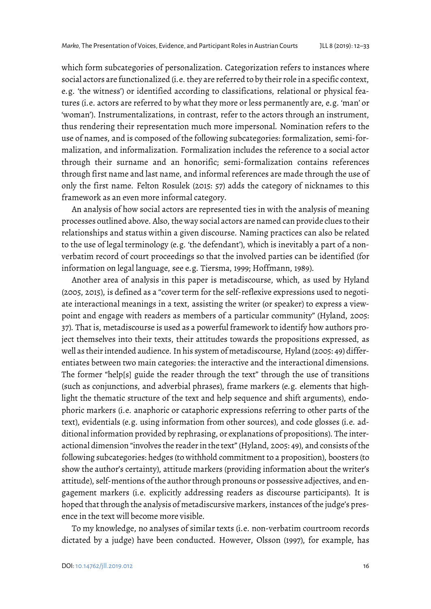which form subcategories of personalization. Categorization refers to instances where social actors are functionalized (i.e. they are referred to by their role in a specific context, e.g. 'the witness') or identified according to classifications, relational or physical features (i.e. actors are referred to by what they more or less permanently are, e.g. 'man' or 'woman'). Instrumentalizations, in contrast, refer to the actors through an instrument, thus rendering their representation much more impersonal. Nomination refers to the use of names, and is composed of the following subcategories: formalization, semi-formalization, and informalization. Formalization includes the reference to a social actor through their surname and an honorific; semi-formalization contains references through first name and last name, and informal references are made through the use of only the first name. Felton Rosulek (2015: 57) adds the category of nicknames to this framework as an even more informal category.

An analysis of how social actors are represented ties in with the analysis of meaning processes outlined above. Also, the way social actors are named can provide clues to their relationships and status within a given discourse. Naming practices can also be related to the use of legal terminology (e.g. 'the defendant'), which is inevitably a part of a nonverbatim record of court proceedings so that the involved parties can be identified (for information on legal language, see e.g. Tiersma, 1999; Hoffmann, 1989).

Another area of analysis in this paper is metadiscourse, which, as used by Hyland (2005, 2015), is defined as a "cover term for the self-reflexive expressions used to negotiate interactional meanings in a text, assisting the writer (or speaker) to express a viewpoint and engage with readers as members of a particular community" (Hyland, 2005: 37). That is, metadiscourse is used as a powerful framework to identify how authors project themselves into their texts, their attitudes towards the propositions expressed, as well as their intended audience. In his system of metadiscourse, Hyland (2005: 49) differentiates between two main categories: the interactive and the interactional dimensions. The former "help[s] guide the reader through the text" through the use of transitions (such as conjunctions, and adverbial phrases), frame markers (e.g. elements that highlight the thematic structure of the text and help sequence and shift arguments), endophoric markers (i.e. anaphoric or cataphoric expressions referring to other parts of the text), evidentials (e.g. using information from other sources), and code glosses (i.e. additional information provided by rephrasing, or explanations of propositions). The interactional dimension "involves the reader in the text" (Hyland, 2005: 49), and consists of the following subcategories: hedges (to withhold commitment to a proposition), boosters (to show the author's certainty), attitude markers (providing information about the writer's attitude), self-mentions of the author through pronouns or possessive adjectives, and engagement markers (i.e. explicitly addressing readers as discourse participants). It is hoped that through the analysis of metadiscursive markers, instances of the judge's presence in the text will become more visible.

To my knowledge, no analyses of similar texts (i.e. non-verbatim courtroom records dictated by a judge) have been conducted. However, Olsson (1997), for example, has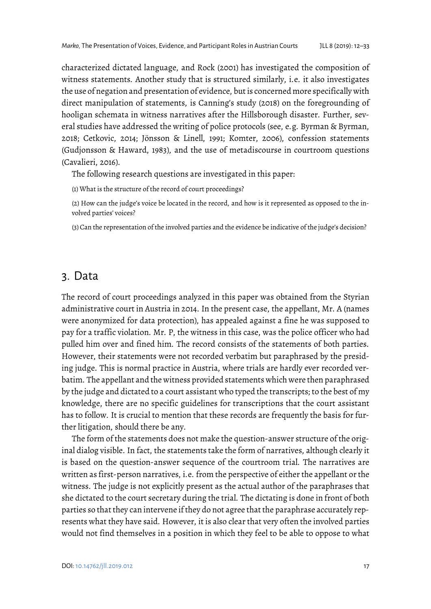characterized dictated language, and Rock (2001) has investigated the composition of witness statements. Another study that is structured similarly, i.e. it also investigates the use of negation and presentation of evidence, but is concerned more specifically with direct manipulation of statements, is Canning's study (2018) on the foregrounding of hooligan schemata in witness narratives after the Hillsborough disaster. Further, several studies have addressed the writing of police protocols (see, e.g. Byrman & Byrman, 2018; Cetkovic, 2014; Jönsson & Linell, 1991; Komter, 2006), confession statements (Gudjonsson & Haward, 1983), and the use of metadiscourse in courtroom questions (Cavalieri, 2016).

The following research questions are investigated in this paper:

(1) What is the structure of the record of court proceedings?

(2) How can the judge's voice be located in the record, and how is it represented as opposed to the involved parties' voices?

(3) Can the representation of the involved parties and the evidence be indicative of the judge's decision?

## 3. Data

The record of court proceedings analyzed in this paper was obtained from the Styrian administrative court in Austria in 2014. In the present case, the appellant, Mr. A (names were anonymized for data protection), has appealed against a fine he was supposed to pay for a traffic violation. Mr. P, the witness in this case, was the police officer who had pulled him over and fined him. The record consists of the statements of both parties. However, their statements were not recorded verbatim but paraphrased by the presiding judge. This is normal practice in Austria, where trials are hardly ever recorded verbatim. The appellant and the witness provided statements which were then paraphrased by the judge and dictated to a court assistant who typed the transcripts; to the best of my knowledge, there are no specific guidelines for transcriptions that the court assistant has to follow. It is crucial to mention that these records are frequently the basis for further litigation, should there be any.

The form of the statements does not make the question-answer structure of the original dialog visible. In fact, the statements take the form of narratives, although clearly it is based on the question-answer sequence of the courtroom trial. The narratives are written as first-person narratives, i.e. from the perspective of either the appellant or the witness. The judge is not explicitly present as the actual author of the paraphrases that she dictated to the court secretary during the trial. The dictating is done in front of both parties so that they can intervene if they do not agree that the paraphrase accurately represents what they have said. However, it is also clear that very often the involved parties would not find themselves in a position in which they feel to be able to oppose to what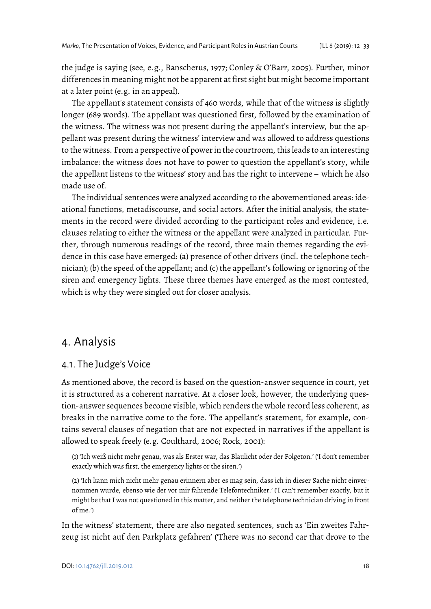the judge is saying (see, e.g., Banscherus, 1977; Conley & O'Barr, 2005). Further, minor differences in meaning might not be apparent at first sight but might become important at a later point (e.g. in an appeal).

The appellant's statement consists of 460 words, while that of the witness is slightly longer (689 words). The appellant was questioned first, followed by the examination of the witness. The witness was not present during the appellant's interview, but the appellant was present during the witness' interview and was allowed to address questions to the witness. From a perspective of power in the courtroom, this leads to an interesting imbalance: the witness does not have to power to question the appellant's story, while the appellant listens to the witness' story and has the right to intervene – which he also made use of.

The individual sentences were analyzed according to the abovementioned areas: ideational functions, metadiscourse, and social actors. After the initial analysis, the statements in the record were divided according to the participant roles and evidence, i.e. clauses relating to either the witness or the appellant were analyzed in particular. Further, through numerous readings of the record, three main themes regarding the evidence in this case have emerged: (a) presence of other drivers (incl. the telephone technician); (b) the speed of the appellant; and (c) the appellant's following or ignoring of the siren and emergency lights. These three themes have emerged as the most contested, which is why they were singled out for closer analysis.

# 4. Analysis

## 4.1. The Judge's Voice

As mentioned above, the record is based on the question-answer sequence in court, yet it is structured as a coherent narrative. At a closer look, however, the underlying question-answer sequences become visible, which renders the whole record less coherent, as breaks in the narrative come to the fore. The appellant's statement, for example, contains several clauses of negation that are not expected in narratives if the appellant is allowed to speak freely (e.g. Coulthard, 2006; Rock, 2001):

(1) 'Ich weiß nicht mehr genau, was als Erster war, das Blaulicht oder der Folgeton.' ('I don't remember exactly which was first, the emergency lights or the siren.')

(2) 'Ich kann mich nicht mehr genau erinnern aber es mag sein, dass ich in dieser Sache nicht einvernommen wurde, ebenso wie der vor mir fahrende Telefontechniker.' ('I can't remember exactly, but it might be that I was not questioned in this matter, and neither the telephone technician driving in front of me.')

In the witness' statement, there are also negated sentences, such as 'Ein zweites Fahrzeug ist nicht auf den Parkplatz gefahren' ('There was no second car that drove to the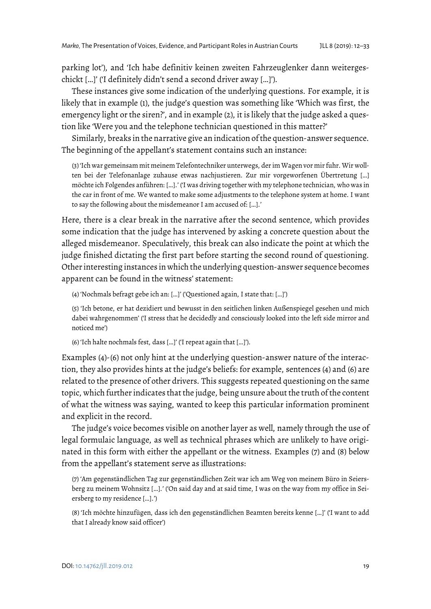parking lot'), and 'Ich habe definitiv keinen zweiten Fahrzeuglenker dann weitergeschickt […]' ('I definitely didn't send a second driver away […]').

These instances give some indication of the underlying questions. For example, it is likely that in example (1), the judge's question was something like 'Which was first, the emergency light or the siren?', and in example (2), it is likely that the judge asked a question like 'Were you and the telephone technician questioned in this matter?'

Similarly, breaks in the narrative give an indication of the question-answer sequence. The beginning of the appellant's statement contains such an instance:

(3) 'Ich war gemeinsam mit meinem Telefontechniker unterwegs, der im Wagen vor mir fuhr. Wir wollten bei der Telefonanlage zuhause etwas nachjustieren. Zur mir vorgeworfenen Übertretung […] möchte ich Folgendes anführen: […].' ('I was driving together with my telephone technician, who was in the car in front of me. We wanted to make some adjustments to the telephone system at home. I want to say the following about the misdemeanor I am accused of: […].'

Here, there is a clear break in the narrative after the second sentence, which provides some indication that the judge has intervened by asking a concrete question about the alleged misdemeanor. Speculatively, this break can also indicate the point at which the judge finished dictating the first part before starting the second round of questioning. Other interesting instances in which the underlying question-answer sequence becomes apparent can be found in the witness' statement:

(4) 'Nochmals befragt gebe ich an: […]' ('Questioned again, I state that: […]')

(5) 'Ich betone, er hat dezidiert und bewusst in den seitlichen linken Außenspiegel gesehen und mich dabei wahrgenommen' ('I stress that he decidedly and consciously looked into the left side mirror and noticed me')

(6) 'Ich halte nochmals fest, dass […]' ('I repeat again that […]').

Examples (4)-(6) not only hint at the underlying question-answer nature of the interaction, they also provides hints at the judge's beliefs: for example, sentences (4) and (6) are related to the presence of other drivers. This suggests repeated questioning on the same topic, which further indicates that the judge, being unsure about the truth of the content of what the witness was saying, wanted to keep this particular information prominent and explicit in the record.

The judge's voice becomes visible on another layer as well, namely through the use of legal formulaic language, as well as technical phrases which are unlikely to have originated in this form with either the appellant or the witness. Examples (7) and (8) below from the appellant's statement serve as illustrations:

(7) 'Am gegenständlichen Tag zur gegenständlichen Zeit war ich am Weg von meinem Büro in Seiersberg zu meinem Wohnsitz […].' ('On said day and at said time, I was on the way from my office in Seiersberg to my residence […].')

(8) 'Ich möchte hinzufügen, dass ich den gegenständlichen Beamten bereits kenne […]' ('I want to add that I already know said officer')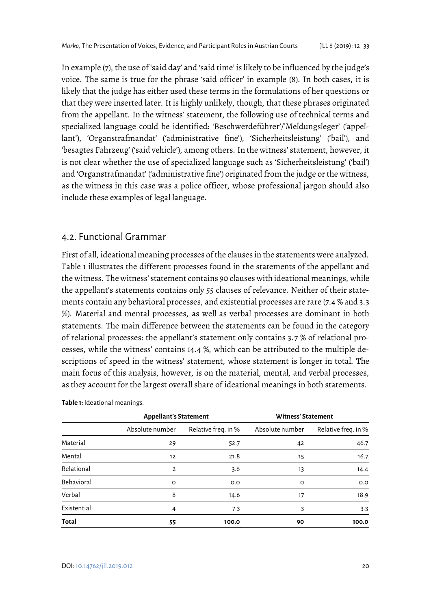In example (7), the use of 'said day' and 'said time' is likely to be influenced by the judge's voice. The same is true for the phrase 'said officer' in example (8). In both cases, it is likely that the judge has either used these terms in the formulations of her questions or that they were inserted later. It is highly unlikely, though, that these phrases originated from the appellant. In the witness' statement, the following use of technical terms and specialized language could be identified: 'Beschwerdeführer'/'Meldungsleger' ('appellant'), 'Organstrafmandat' ('administrative fine'), 'Sicherheitsleistung' ('bail'), and 'besagtes Fahrzeug' ('said vehicle'), among others. In the witness' statement, however, it is not clear whether the use of specialized language such as 'Sicherheitsleistung' ('bail') and 'Organstrafmandat' ('administrative fine') originated from the judge or the witness, as the witness in this case was a police officer, whose professional jargon should also include these examples of legal language.

## 4.2. Functional Grammar

First of all, ideational meaning processes of the clauses in the statements were analyzed. Table 1 illustrates the different processes found in the statements of the appellant and the witness. The witness' statement contains 90 clauses with ideational meanings, while the appellant's statements contains only 55 clauses of relevance. Neither of their statements contain any behavioral processes, and existential processes are rare (7.4 % and 3.3 %). Material and mental processes, as well as verbal processes are dominant in both statements. The main difference between the statements can be found in the category of relational processes: the appellant's statement only contains 3.7 % of relational processes, while the witness' contains 14.4 %, which can be attributed to the multiple descriptions of speed in the witness' statement, whose statement is longer in total. The main focus of this analysis, however, is on the material, mental, and verbal processes, as they account for the largest overall share of ideational meanings in both statements.

|              | <b>Appellant's Statement</b> |                     | <b>Witness' Statement</b> |                     |
|--------------|------------------------------|---------------------|---------------------------|---------------------|
|              | Absolute number              | Relative freq. in % | Absolute number           | Relative freq. in % |
| Material     | 29                           | 52.7                | 42                        | 46.7                |
| Mental       | 12                           | 21.8                | 15                        | 16.7                |
| Relational   | 2                            | 3.6                 | 13                        | 14.4                |
| Behavioral   | $\circ$                      | O.O                 | O                         | O.O                 |
| Verbal       | 8                            | 14.6                | 17                        | 18.9                |
| Existential  | 4                            | 7.3                 | 3                         | 3.3                 |
| <b>Total</b> | 55                           | 100.0               | 90                        | 100.0               |

**Table 1:** Ideational meanings.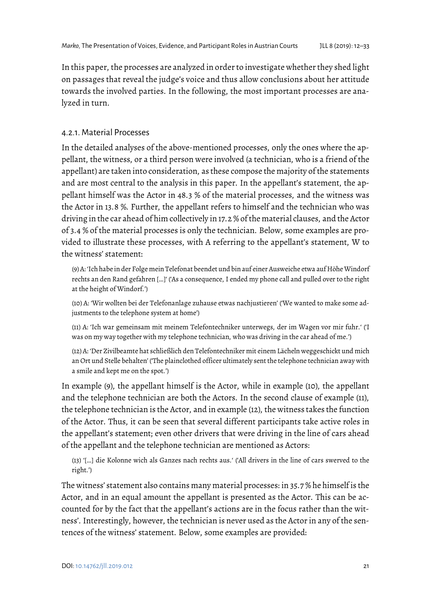In this paper, the processes are analyzed in order to investigate whether they shed light on passages that reveal the judge's voice and thus allow conclusions about her attitude towards the involved parties. In the following, the most important processes are analyzed in turn.

## 4.2.1. Material Processes

In the detailed analyses of the above-mentioned processes, only the ones where the appellant, the witness, or a third person were involved (a technician, who is a friend of the appellant) are taken into consideration, as these compose the majority of the statements and are most central to the analysis in this paper. In the appellant's statement, the appellant himself was the Actor in 48.3 % of the material processes, and the witness was the Actor in 13.8 %. Further, the appellant refers to himself and the technician who was driving in the car ahead of him collectively in 17.2 % of the material clauses, and the Actor of 3.4 % of the material processes is only the technician. Below, some examples are provided to illustrate these processes, with A referring to the appellant's statement, W to the witness' statement:

(9) A: 'Ich habe in der Folge mein Telefonat beendet und bin auf einer Ausweiche etwa auf Höhe Windorf rechts an den Rand gefahren […]' ('As a consequence, I ended my phone call and pulled over to the right at the height of Windorf.')

(10) A: 'Wir wollten bei der Telefonanlage zuhause etwas nachjustieren' ('We wanted to make some adjustments to the telephone system at home')

(11) A: 'Ich war gemeinsam mit meinem Telefontechniker unterwegs, der im Wagen vor mir fuhr.' ('I was on my way together with my telephone technician, who was driving in the car ahead of me.')

(12) A: 'Der Zivilbeamte hat schließlich den Telefontechniker mit einem Lächeln weggeschickt und mich an Ort und Stelle behalten' ('The plainclothed officer ultimately sent the telephone technician away with a smile and kept me on the spot.')

In example (9), the appellant himself is the Actor, while in example (10), the appellant and the telephone technician are both the Actors. In the second clause of example (11), the telephone technician is the Actor, and in example (12), the witness takes the function of the Actor. Thus, it can be seen that several different participants take active roles in the appellant's statement; even other drivers that were driving in the line of cars ahead of the appellant and the telephone technician are mentioned as Actors:

(13) '[…] die Kolonne wich als Ganzes nach rechts aus.' ('All drivers in the line of cars swerved to the right.')

The witness' statement also contains many material processes: in 35.7 % he himself is the Actor, and in an equal amount the appellant is presented as the Actor. This can be accounted for by the fact that the appellant's actions are in the focus rather than the witness'. Interestingly, however, the technician is never used as the Actor in any of the sentences of the witness' statement. Below, some examples are provided: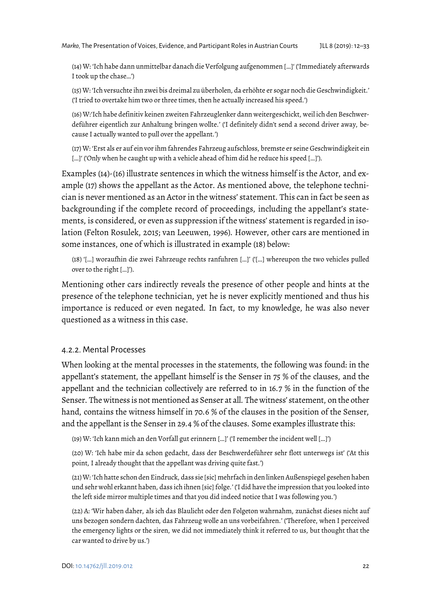(14) W: 'Ich habe dann unmittelbar danach die Verfolgung aufgenommen […]' ('Immediately afterwards I took up the chase…')

(15) W: 'Ich versuchte ihn zwei bis dreimal zu überholen, da erhöhte er sogar noch die Geschwindigkeit.' ('I tried to overtake him two or three times, then he actually increased his speed.')

(16) W:'Ich habe definitiv keinen zweiten Fahrzeuglenker dann weitergeschickt, weil ich den Beschwerdeführer eigentlich zur Anhaltung bringen wollte.' ('I definitely didn't send a second driver away, because I actually wanted to pull over the appellant.')

(17) W: 'Erst als er auf ein vor ihm fahrendes Fahrzeug aufschloss, bremste er seine Geschwindigkeit ein […]' ('Only when he caught up with a vehicle ahead of him did he reduce his speed […]').

Examples (14)-(16) illustrate sentences in which the witness himself is the Actor, and example (17) shows the appellant as the Actor. As mentioned above, the telephone technician is never mentioned as an Actor in the witness' statement. This can in fact be seen as backgrounding if the complete record of proceedings, including the appellant's statements, is considered, or even as suppression if the witness' statement is regarded in isolation (Felton Rosulek, 2015; van Leeuwen, 1996). However, other cars are mentioned in some instances, one of which is illustrated in example (18) below:

(18) '[…] woraufhin die zwei Fahrzeuge rechts ranfuhren […]' ('[…] whereupon the two vehicles pulled over to the right […]').

Mentioning other cars indirectly reveals the presence of other people and hints at the presence of the telephone technician, yet he is never explicitly mentioned and thus his importance is reduced or even negated. In fact, to my knowledge, he was also never questioned as a witness in this case.

#### 4.2.2. Mental Processes

When looking at the mental processes in the statements, the following was found: in the appellant's statement, the appellant himself is the Senser in 75 % of the clauses, and the appellant and the technician collectively are referred to in 16.7 % in the function of the Senser. The witness is not mentioned as Senser at all. The witness' statement, on the other hand, contains the witness himself in 70.6 % of the clauses in the position of the Senser, and the appellant is the Senser in 29.4 % of the clauses. Some examples illustrate this:

(19) W: 'Ich kann mich an den Vorfall gut erinnern […]' ('I remember the incident well […]')

(20) W: 'Ich habe mir da schon gedacht, dass der Beschwerdeführer sehr flott unterwegs ist' ('At this point, I already thought that the appellant was driving quite fast.')

(21) W: 'Ich hatte schon den Eindruck, dass sie [sic] mehrfach in den linken Außenspiegel gesehen haben und sehr wohl erkannt haben, dass ich ihnen [sic] folge.' ('I did have the impression that you looked into the left side mirror multiple times and that you did indeed notice that I was following you.')

(22) A: 'Wir haben daher, als ich das Blaulicht oder den Folgeton wahrnahm, zunächst dieses nicht auf uns bezogen sondern dachten, das Fahrzeug wolle an uns vorbeifahren.' ('Therefore, when I perceived the emergency lights or the siren, we did not immediately think it referred to us, but thought that the car wanted to drive by us.')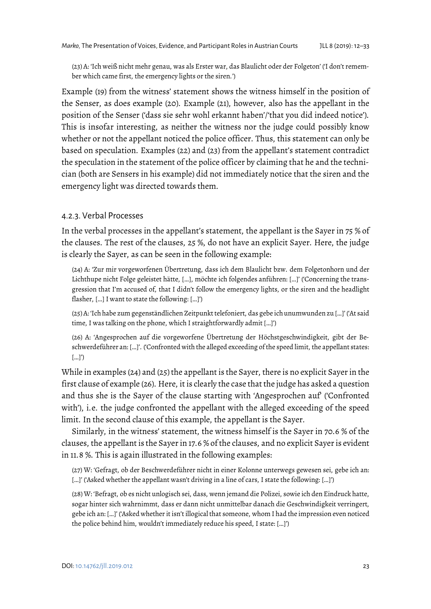(23) A: 'Ich weiß nicht mehr genau, was als Erster war, das Blaulicht oder der Folgeton' ('I don't remember which came first, the emergency lights or the siren.')

Example (19) from the witness' statement shows the witness himself in the position of the Senser, as does example (20). Example (21), however, also has the appellant in the position of the Senser ('dass sie sehr wohl erkannt haben'/'that you did indeed notice'). This is insofar interesting, as neither the witness nor the judge could possibly know whether or not the appellant noticed the police officer. Thus, this statement can only be based on speculation. Examples (22) and (23) from the appellant's statement contradict the speculation in the statement of the police officer by claiming that he and the technician (both are Sensers in his example) did not immediately notice that the siren and the emergency light was directed towards them.

#### 4.2.3. Verbal Processes

In the verbal processes in the appellant's statement, the appellant is the Sayer in 75 % of the clauses. The rest of the clauses, 25 %, do not have an explicit Sayer. Here, the judge is clearly the Sayer, as can be seen in the following example:

(24) A: 'Zur mir vorgeworfenen Übertretung, dass ich dem Blaulicht bzw. dem Folgetonhorn und der Lichthupe nicht Folge geleistet hätte, […], möchte ich folgendes anführen: […]' ('Concerning the transgression that I'm accused of, that I didn't follow the emergency lights, or the siren and the headlight flasher, […] I want to state the following: […]')

(25) A: 'Ich habe zum gegenständlichen Zeitpunkt telefoniert, das gebe ich unumwunden zu […]' ('At said time, I was talking on the phone, which I straightforwardly admit […]')

(26) A: 'Angesprochen auf die vorgeworfene Übertretung der Höchstgeschwindigkeit, gibt der Beschwerdeführer an: […]'. ('Confronted with the alleged exceeding of the speed limit, the appellant states: […]')

While in examples (24) and (25) the appellant is the Sayer, there is no explicit Sayer in the first clause of example (26). Here, it is clearly the case that the judge has asked a question and thus she is the Sayer of the clause starting with 'Angesprochen auf' ('Confronted with'), i.e. the judge confronted the appellant with the alleged exceeding of the speed limit. In the second clause of this example, the appellant is the Sayer.

Similarly, in the witness' statement, the witness himself is the Sayer in 70.6 % of the clauses, the appellant is the Sayer in 17.6 % of the clauses, and no explicit Sayer is evident in 11.8 %. This is again illustrated in the following examples:

(27) W: 'Gefragt, ob der Beschwerdeführer nicht in einer Kolonne unterwegs gewesen sei, gebe ich an: […]' ('Asked whether the appellant wasn't driving in a line of cars, I state the following: […]')

(28) W: 'Befragt, ob es nicht unlogisch sei, dass, wenn jemand die Polizei, sowie ich den Eindruck hatte, sogar hinter sich wahrnimmt, dass er dann nicht unmittelbar danach die Geschwindigkeit verringert, gebe ich an: […]' ('Asked whether it isn't illogical that someone, whom I had the impression even noticed the police behind him, wouldn't immediately reduce his speed, I state: […]')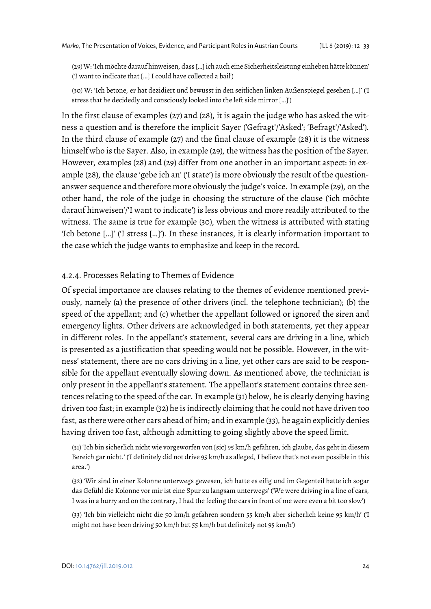(29) W: 'Ich möchte darauf hinweisen, dass […] ich auch eine Sicherheitsleistung einheben hätte können' ('I want to indicate that […] I could have collected a bail')

(30) W: 'Ich betone, er hat dezidiert und bewusst in den seitlichen linken Außenspiegel gesehen […]' ('I stress that he decidedly and consciously looked into the left side mirror […]')

In the first clause of examples (27) and (28), it is again the judge who has asked the witness a question and is therefore the implicit Sayer ('Gefragt'/'Asked'; 'Befragt'/'Asked'). In the third clause of example (27) and the final clause of example (28) it is the witness himself who is the Sayer. Also, in example (29), the witness has the position of the Sayer. However, examples (28) and (29) differ from one another in an important aspect: in example (28), the clause 'gebe ich an' ('I state') is more obviously the result of the questionanswer sequence and therefore more obviously the judge's voice. In example (29), on the other hand, the role of the judge in choosing the structure of the clause ('ich möchte darauf hinweisen'/'I want to indicate') is less obvious and more readily attributed to the witness. The same is true for example (30), when the witness is attributed with stating 'Ich betone […]' ('I stress […]'). In these instances, it is clearly information important to the case which the judge wants to emphasize and keep in the record.

#### 4.2.4. Processes Relating to Themes of Evidence

Of special importance are clauses relating to the themes of evidence mentioned previously, namely (a) the presence of other drivers (incl. the telephone technician); (b) the speed of the appellant; and (c) whether the appellant followed or ignored the siren and emergency lights. Other drivers are acknowledged in both statements, yet they appear in different roles. In the appellant's statement, several cars are driving in a line, which is presented as a justification that speeding would not be possible. However, in the witness' statement, there are no cars driving in a line, yet other cars are said to be responsible for the appellant eventually slowing down. As mentioned above, the technician is only present in the appellant's statement. The appellant's statement contains three sentences relating to the speed of the car. In example (31) below, he is clearly denying having driven too fast; in example (32) he is indirectly claiming that he could not have driven too fast, as there were other cars ahead of him; and in example (33), he again explicitly denies having driven too fast, although admitting to going slightly above the speed limit.

(31) 'Ich bin sicherlich nicht wie vorgeworfen von [sic] 95 km/h gefahren, ich glaube, das geht in diesem Bereich gar nicht.' ('I definitely did not drive 95 km/h as alleged, I believe that's not even possible in this area.')

(32) 'Wir sind in einer Kolonne unterwegs gewesen, ich hatte es eilig und im Gegenteil hatte ich sogar das Gefühl die Kolonne vor mir ist eine Spur zu langsam unterwegs' ('We were driving in a line of cars, I was in a hurry and on the contrary, I had the feeling the cars in front of me were even a bit too slow')

(33) 'Ich bin vielleicht nicht die 50 km/h gefahren sondern 55 km/h aber sicherlich keine 95 km/h' ('I might not have been driving 50 km/h but 55 km/h but definitely not 95 km/h')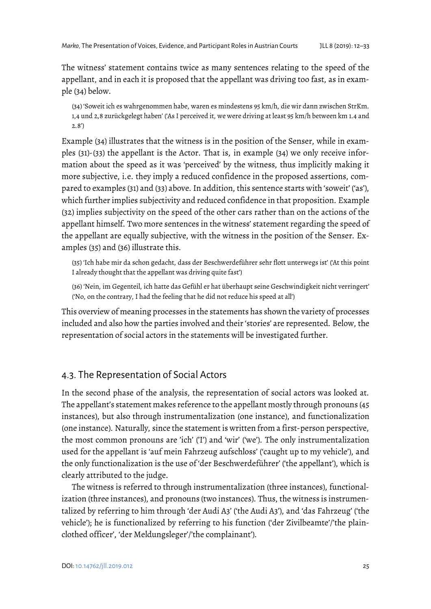The witness' statement contains twice as many sentences relating to the speed of the appellant, and in each it is proposed that the appellant was driving too fast, as in example (34) below.

(34) 'Soweit ich es wahrgenommen habe, waren es mindestens 95 km/h, die wir dann zwischen StrKm. 1,4 und 2,8 zurückgelegt haben' ('As I perceived it, we were driving at least 95 km/h between km 1.4 and 2.8')

Example (34) illustrates that the witness is in the position of the Senser, while in examples (31)-(33) the appellant is the Actor. That is, in example (34) we only receive information about the speed as it was 'perceived' by the witness, thus implicitly making it more subjective, i.e. they imply a reduced confidence in the proposed assertions, compared to examples (31) and (33) above. In addition, this sentence starts with 'soweit' ('as'), which further implies subjectivity and reduced confidence in that proposition. Example (32) implies subjectivity on the speed of the other cars rather than on the actions of the appellant himself. Two more sentences in the witness' statement regarding the speed of the appellant are equally subjective, with the witness in the position of the Senser. Examples (35) and (36) illustrate this.

(35) 'Ich habe mir da schon gedacht, dass der Beschwerdeführer sehr flott unterwegs ist' ('At this point I already thought that the appellant was driving quite fast')

(36) 'Nein, im Gegenteil, ich hatte das Gefühl er hat überhaupt seine Geschwindigkeit nicht verringert' ('No, on the contrary, I had the feeling that he did not reduce his speed at all')

This overview of meaning processes in the statements has shown the variety of processes included and also how the parties involved and their 'stories' are represented. Below, the representation of social actors in the statements will be investigated further.

## 4.3. The Representation of Social Actors

In the second phase of the analysis, the representation of social actors was looked at. The appellant's statement makes reference to the appellant mostly through pronouns (45 instances), but also through instrumentalization (one instance), and functionalization (one instance). Naturally, since the statement is written from a first-person perspective, the most common pronouns are 'ich' ('I') and 'wir' ('we'). The only instrumentalization used for the appellant is 'auf mein Fahrzeug aufschloss' ('caught up to my vehicle'), and the only functionalization is the use of 'der Beschwerdeführer' ('the appellant'), which is clearly attributed to the judge.

The witness is referred to through instrumentalization (three instances), functionalization (three instances), and pronouns (two instances). Thus, the witness is instrumentalized by referring to him through 'der Audi A3' ('the Audi A3'), and 'das Fahrzeug' ('the vehicle'); he is functionalized by referring to his function ('der Zivilbeamte'/'the plainclothed officer', 'der Meldungsleger'/'the complainant').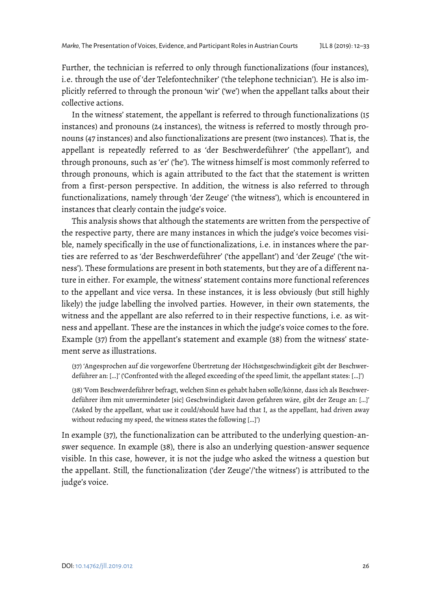Further, the technician is referred to only through functionalizations (four instances), i.e. through the use of 'der Telefontechniker' ('the telephone technician'). He is also implicitly referred to through the pronoun 'wir' ('we') when the appellant talks about their collective actions.

In the witness' statement, the appellant is referred to through functionalizations (15 instances) and pronouns (24 instances), the witness is referred to mostly through pronouns (47 instances) and also functionalizations are present (two instances). That is, the appellant is repeatedly referred to as 'der Beschwerdeführer' ('the appellant'), and through pronouns, such as 'er' ('he'). The witness himself is most commonly referred to through pronouns, which is again attributed to the fact that the statement is written from a first-person perspective. In addition, the witness is also referred to through functionalizations, namely through 'der Zeuge' ('the witness'), which is encountered in instances that clearly contain the judge's voice.

This analysis shows that although the statements are written from the perspective of the respective party, there are many instances in which the judge's voice becomes visible, namely specifically in the use of functionalizations, i.e. in instances where the parties are referred to as 'der Beschwerdeführer' ('the appellant') and 'der Zeuge' ('the witness'). These formulations are present in both statements, but they are of a different nature in either. For example, the witness' statement contains more functional references to the appellant and vice versa. In these instances, it is less obviously (but still highly likely) the judge labelling the involved parties. However, in their own statements, the witness and the appellant are also referred to in their respective functions, i.e. as witness and appellant. These are the instances in which the judge's voice comes to the fore. Example (37) from the appellant's statement and example (38) from the witness' statement serve as illustrations.

(37) 'Angesprochen auf die vorgeworfene Übertretung der Höchstgeschwindigkeit gibt der Beschwerdeführer an: […]' ('Confronted with the alleged exceeding of the speed limit, the appellant states: […]')

(38) 'Vom Beschwerdeführer befragt, welchen Sinn es gehabt haben solle/könne, dass ich als Beschwerdeführer ihm mit unvermindeter [sic] Geschwindigkeit davon gefahren wäre, gibt der Zeuge an: […]' ('Asked by the appellant, what use it could/should have had that I, as the appellant, had driven away without reducing my speed, the witness states the following […]')

In example (37), the functionalization can be attributed to the underlying question-answer sequence. In example (38), there is also an underlying question-answer sequence visible. In this case, however, it is not the judge who asked the witness a question but the appellant. Still, the functionalization ('der Zeuge'/'the witness') is attributed to the judge's voice.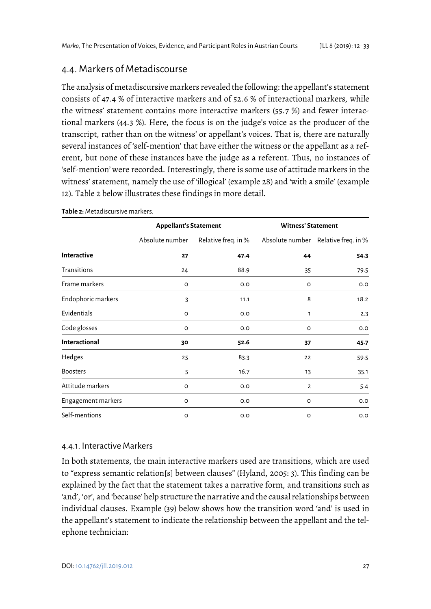## 4.4. Markers of Metadiscourse

The analysis of metadiscursive markers revealed the following: the appellant's statement consists of 47.4 % of interactive markers and of 52.6 % of interactional markers, while the witness' statement contains more interactive markers (55.7 %) and fewer interactional markers (44.3 %). Here, the focus is on the judge's voice as the producer of the transcript, rather than on the witness' or appellant's voices. That is, there are naturally several instances of 'self-mention' that have either the witness or the appellant as a referent, but none of these instances have the judge as a referent. Thus, no instances of 'self-mention' were recorded. Interestingly, there is some use of attitude markers in the witness' statement, namely the use of 'illogical' (example 28) and 'with a smile' (example 12). Table 2 below illustrates these findings in more detail.

|                      | <b>Appellant's Statement</b> |                     | <b>Witness' Statement</b> |                                     |
|----------------------|------------------------------|---------------------|---------------------------|-------------------------------------|
|                      | Absolute number              | Relative freq. in % |                           | Absolute number Relative freq. in % |
| Interactive          | 27                           | 47.4                | 44                        | 54.3                                |
| Transitions          | 24                           | 88.9                | 35                        | 79.5                                |
| Frame markers        | $\circ$                      | O.O                 | O                         | O.O                                 |
| Endophoric markers   | 3                            | 11.1                | 8                         | 18.2                                |
| Evidentials          | O                            | O.O                 | 1                         | 2.3                                 |
| Code glosses         | $\circ$                      | O.O                 | O                         | 0.0                                 |
| <b>Interactional</b> | 30                           | 52.6                | 37                        | 45.7                                |
| Hedges               | 25                           | 83.3                | 22                        | 59.5                                |
| <b>Boosters</b>      | 5                            | 16.7                | 13                        | 35.1                                |
| Attitude markers     | $\circ$                      | O.O                 | $\overline{2}$            | 5.4                                 |
| Engagement markers   | $\circ$                      | O.O                 | O                         | O.O                                 |
| Self-mentions        | $\circ$                      | O.O                 | O                         | 0.0                                 |

**Table 2:** Metadiscursive markers.

### 4.4.1. Interactive Markers

In both statements, the main interactive markers used are transitions, which are used to "express semantic relation[s] between clauses" (Hyland, 2005: 3). This finding can be explained by the fact that the statement takes a narrative form, and transitions such as 'and', 'or', and 'because' help structure the narrative and the causal relationships between individual clauses. Example (39) below shows how the transition word 'and' is used in the appellant's statement to indicate the relationship between the appellant and the telephone technician: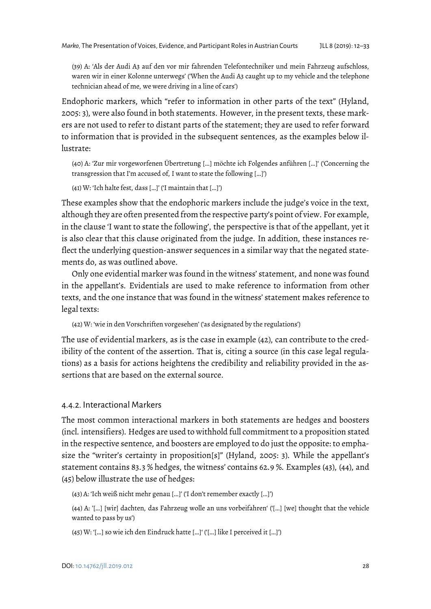(39) A: 'Als der Audi A3 auf den vor mir fahrenden Telefontechniker und mein Fahrzeug aufschloss, waren wir in einer Kolonne unterwegs' ('When the Audi A3 caught up to my vehicle and the telephone technician ahead of me, we were driving in a line of cars')

Endophoric markers, which "refer to information in other parts of the text" (Hyland, 2005: 3), were also found in both statements. However, in the present texts, these markers are not used to refer to distant parts of the statement; they are used to refer forward to information that is provided in the subsequent sentences, as the examples below illustrate:

(40) A: 'Zur mir vorgeworfenen Übertretung […] möchte ich Folgendes anführen […]' ('Concerning the transgression that I'm accused of, I want to state the following […]')

(41) W: 'Ich halte fest, dass […]' ('I maintain that […]')

These examples show that the endophoric markers include the judge's voice in the text, although they are often presented from the respective party's point of view. For example, in the clause 'I want to state the following', the perspective is that of the appellant, yet it is also clear that this clause originated from the judge. In addition, these instances reflect the underlying question-answer sequences in a similar way that the negated statements do, as was outlined above.

Only one evidential marker was found in the witness' statement, and none was found in the appellant's. Evidentials are used to make reference to information from other texts, and the one instance that was found in the witness' statement makes reference to legal texts:

(42) W: 'wie in den Vorschriften vorgesehen' ('as designated by the regulations')

The use of evidential markers, as is the case in example (42), can contribute to the credibility of the content of the assertion. That is, citing a source (in this case legal regulations) as a basis for actions heightens the credibility and reliability provided in the assertions that are based on the external source.

#### 4.4.2. Interactional Markers

The most common interactional markers in both statements are hedges and boosters (incl. intensifiers). Hedges are used to withhold full commitment to a proposition stated in the respective sentence, and boosters are employed to do just the opposite: to emphasize the "writer's certainty in proposition[s]" (Hyland, 2005: 3). While the appellant's statement contains 83.3 % hedges, the witness' contains 62.9 %. Examples (43), (44), and (45) below illustrate the use of hedges:

(43) A: 'Ich weiß nicht mehr genau […]' ('I don't remember exactly […]')

(44) A: '[…] [wir] dachten, das Fahrzeug wolle an uns vorbeifahren' ('[…] [we] thought that the vehicle wanted to pass by us')

(45) W: '[…] so wie ich den Eindruck hatte […]' ('[…] like I perceived it […]')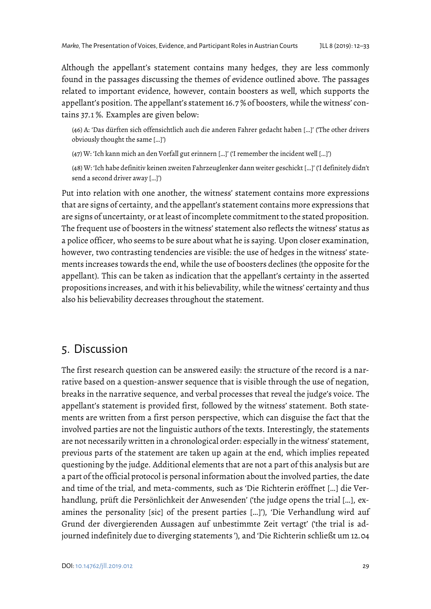Although the appellant's statement contains many hedges, they are less commonly found in the passages discussing the themes of evidence outlined above. The passages related to important evidence, however, contain boosters as well, which supports the appellant's position. The appellant's statement 16.7 % of boosters, while the witness' contains 37.1 %. Examples are given below:

(46) A: 'Das dürften sich offensichtlich auch die anderen Fahrer gedacht haben […]' ('The other drivers obviously thought the same […]')

(47) W: 'Ich kann mich an den Vorfall gut erinnern […]' ('I remember the incident well […]')

(48) W: 'Ich habe definitiv keinen zweiten Fahrzeuglenker dann weiter geschickt […]' ('I definitely didn't send a second driver away […]')

Put into relation with one another, the witness' statement contains more expressions that are signs of certainty, and the appellant's statement contains more expressions that are signs of uncertainty, or at least of incomplete commitment to the stated proposition. The frequent use of boosters in the witness' statement also reflects the witness' status as a police officer, who seems to be sure about what he is saying. Upon closer examination, however, two contrasting tendencies are visible: the use of hedges in the witness' statements increases towards the end, while the use of boosters declines (the opposite for the appellant). This can be taken as indication that the appellant's certainty in the asserted propositions increases, and with it his believability, while the witness' certainty and thus also his believability decreases throughout the statement.

# 5. Discussion

The first research question can be answered easily: the structure of the record is a narrative based on a question-answer sequence that is visible through the use of negation, breaks in the narrative sequence, and verbal processes that reveal the judge's voice. The appellant's statement is provided first, followed by the witness' statement. Both statements are written from a first person perspective, which can disguise the fact that the involved parties are not the linguistic authors of the texts. Interestingly, the statements are not necessarily written in a chronological order: especially in the witness' statement, previous parts of the statement are taken up again at the end, which implies repeated questioning by the judge. Additional elements that are not a part of this analysis but are a part of the official protocol is personal information about the involved parties, the date and time of the trial, and meta-comments, such as 'Die Richterin eröffnet […] die Verhandlung, prüft die Persönlichkeit der Anwesenden' ('the judge opens the trial […], examines the personality [sic] of the present parties […]'), 'Die Verhandlung wird auf Grund der divergierenden Aussagen auf unbestimmte Zeit vertagt' ('the trial is adjourned indefinitely due to diverging statements '), and 'Die Richterin schließt um 12.04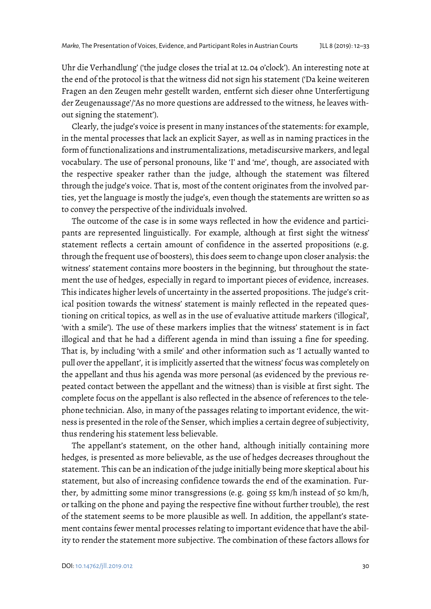Uhr die Verhandlung' ('the judge closes the trial at 12.04 o'clock'). An interesting note at the end of the protocol is that the witness did not sign his statement ('Da keine weiteren Fragen an den Zeugen mehr gestellt warden, entfernt sich dieser ohne Unterfertigung der Zeugenaussage'/'As no more questions are addressed to the witness, he leaves without signing the statement').

Clearly, the judge's voice is present in many instances of the statements: for example, in the mental processes that lack an explicit Sayer, as well as in naming practices in the form of functionalizations and instrumentalizations, metadiscursive markers, and legal vocabulary. The use of personal pronouns, like 'I' and 'me', though, are associated with the respective speaker rather than the judge, although the statement was filtered through the judge's voice. That is, most of the content originates from the involved parties, yet the language is mostly the judge's, even though the statements are written so as to convey the perspective of the individuals involved.

The outcome of the case is in some ways reflected in how the evidence and participants are represented linguistically. For example, although at first sight the witness' statement reflects a certain amount of confidence in the asserted propositions (e.g. through the frequent use of boosters), this does seem to change upon closer analysis: the witness' statement contains more boosters in the beginning, but throughout the statement the use of hedges, especially in regard to important pieces of evidence, increases. This indicates higher levels of uncertainty in the asserted propositions. The judge's critical position towards the witness' statement is mainly reflected in the repeated questioning on critical topics, as well as in the use of evaluative attitude markers ('illogical', 'with a smile'). The use of these markers implies that the witness' statement is in fact illogical and that he had a different agenda in mind than issuing a fine for speeding. That is, by including 'with a smile' and other information such as 'I actually wanted to pull over the appellant', it is implicitly asserted that the witness' focus was completely on the appellant and thus his agenda was more personal (as evidenced by the previous repeated contact between the appellant and the witness) than is visible at first sight. The complete focus on the appellant is also reflected in the absence of references to the telephone technician. Also, in many of the passages relating to important evidence, the witness is presented in the role of the Senser, which implies a certain degree of subjectivity, thus rendering his statement less believable.

The appellant's statement, on the other hand, although initially containing more hedges, is presented as more believable, as the use of hedges decreases throughout the statement. This can be an indication of the judge initially being more skeptical about his statement, but also of increasing confidence towards the end of the examination. Further, by admitting some minor transgressions (e.g. going 55 km/h instead of 50 km/h, or talking on the phone and paying the respective fine without further trouble), the rest of the statement seems to be more plausible as well. In addition, the appellant's statement contains fewer mental processes relating to important evidence that have the ability to render the statement more subjective. The combination of these factors allows for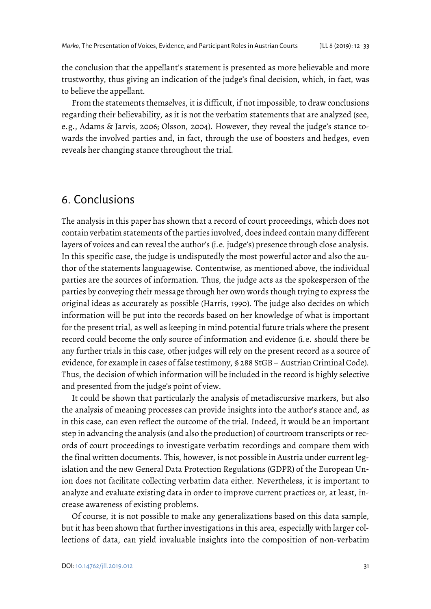the conclusion that the appellant's statement is presented as more believable and more trustworthy, thus giving an indication of the judge's final decision, which, in fact, was to believe the appellant.

From the statements themselves, it is difficult, if not impossible, to draw conclusions regarding their believability, as it is not the verbatim statements that are analyzed (see, e.g., Adams & Jarvis, 2006; Olsson, 2004). However, they reveal the judge's stance towards the involved parties and, in fact, through the use of boosters and hedges, even reveals her changing stance throughout the trial.

# 6. Conclusions

The analysis in this paper has shown that a record of court proceedings, which does not contain verbatim statements of the parties involved, does indeed contain many different layers of voices and can reveal the author's (i.e. judge's) presence through close analysis. In this specific case, the judge is undisputedly the most powerful actor and also the author of the statements languagewise. Contentwise, as mentioned above, the individual parties are the sources of information. Thus, the judge acts as the spokesperson of the parties by conveying their message through her own words though trying to express the original ideas as accurately as possible (Harris, 1990). The judge also decides on which information will be put into the records based on her knowledge of what is important for the present trial, as well as keeping in mind potential future trials where the present record could become the only source of information and evidence (i.e. should there be any further trials in this case, other judges will rely on the present record as a source of evidence, for example in cases of false testimony, § 288 StGB – Austrian Criminal Code). Thus, the decision of which information will be included in the record is highly selective and presented from the judge's point of view.

It could be shown that particularly the analysis of metadiscursive markers, but also the analysis of meaning processes can provide insights into the author's stance and, as in this case, can even reflect the outcome of the trial. Indeed, it would be an important step in advancing the analysis (and also the production) of courtroom transcripts or records of court proceedings to investigate verbatim recordings and compare them with the final written documents. This, however, is not possible in Austria under current legislation and the new General Data Protection Regulations (GDPR) of the European Union does not facilitate collecting verbatim data either. Nevertheless, it is important to analyze and evaluate existing data in order to improve current practices or, at least, increase awareness of existing problems.

Of course, it is not possible to make any generalizations based on this data sample, but it has been shown that further investigations in this area, especially with larger collections of data, can yield invaluable insights into the composition of non-verbatim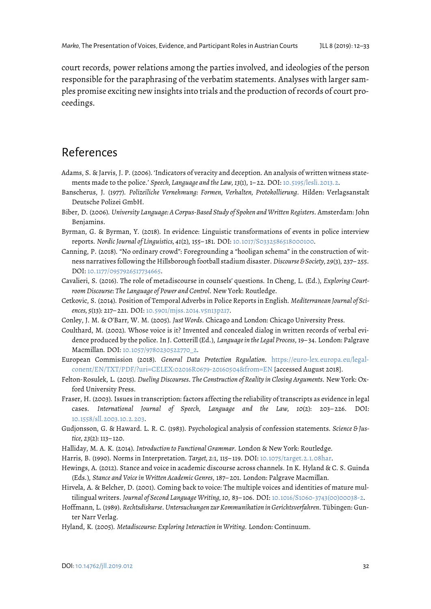court records, power relations among the parties involved, and ideologies of the person responsible for the paraphrasing of the verbatim statements. Analyses with larger samples promise exciting new insights into trials and the production of records of court proceedings.

# References

- Adams, S. & Jarvis, J. P. (2006). 'Indicators of veracity and deception. An analysis of written witness statements made to the police.' *Speech, Language and the Law, 13*(1), 1– 22. DOI[: 10.5195/lesli.2013.2.](https://doi.org/10.5195/lesli.2013.2)
- Banscherus, J. (1977). *Polizeiliche Vernehmung: Formen, Verhalten, Protokollierung*. Hilden: Verlagsanstalt Deutsche Polizei GmbH.
- Biber, D. (2006). *University Language: A Corpus-Based Study of Spoken and Written Registers.* Amsterdam: John Benjamins.
- Byrman, G. & Byrman, Y. (2018). In evidence: Linguistic transformations of events in police interview reports. *Nordic Journal of Linguistics, 41*(2), 155– 181. DOI[: 10.1017/S0332586518000100.](https://doi.org/10.1017/S0332586518000100)
- Canning, P. (2018). "No ordinary crowd": Foregrounding a "hooligan schema" in the construction of witness narratives following the Hillsborough football stadium disaster. *Discourse & Society, 29*(3), 237– 255. DOI[: 10.1177/0957926517734665.](https://doi.org/10.1177/0957926517734665)
- Cavalieri, S. (2016). The role of metadiscourse in counsels' questions. In Cheng, L. (Ed.), *Exploring Courtroom Discourse: The Language of Power and Control.* New York: Routledge.
- Cetkovic, S. (2014). Position of Temporal Adverbs in Police Reports in English. *Mediterranean Journal of Sciences, 5*(13): 217– 221. DOI[: 10.5901/mjss.2014.v5n13p217.](http://dx.doi.org/10.5901/mjss.2014.v5n13p217)
- Conley, J. M. & O'Barr, W. M. (2005). *Just Words*. Chicago and London: Chicago University Press.
- Coulthard, M. (2002). Whose voice is it? Invented and concealed dialog in written records of verbal evidence produced by the police. In J. Cotterill (Ed.), *Language in the Legal Process*, 19– 34. London: Palgrave Macmillan. DOI[: 10.1057/9780230522770\\_2.](https://doi.org/10.1057/9780230522770_2)
- European Commission (2018). *General Data Protection Regulation*. [https://euro-lex.europa.eu/legal](https://euro-lex.europa.eu/legal-conent/EN/TXT/PDF/?uri=CELEX:02016R0679-20160504&from=EN)[conent/EN/TXT/PDF/?uri=CELEX:02016R0679-20160504&from=EN](https://euro-lex.europa.eu/legal-conent/EN/TXT/PDF/?uri=CELEX:02016R0679-20160504&from=EN) [accessed August 2018].
- Felton-Rosulek, L. (2015). *Dueling Discourses. The Construction of Reality in Closing Arguments*. New York: Oxford University Press.
- Fraser, H. (2003). Issues in transcription: factors affecting the reliability of transcripts as evidence in legal cases. *International Journal of Speech, Language and the Law, 10*(2): 203– 226. DOI: [10.1558/sll.2003.10.2.203.](http://dx.doi.org/10.1558/sll.2003.10.2.203)
- Gudjonsson, G. & Haward. L. R. C. (1983). Psychological analysis of confession statements. *Science & Justice, 23*(2): 113– 120.
- Halliday, M. A. K. (2014). *Introduction to Functional Grammar*. London & New York: Routledge.
- Harris, B. (1990). Norms in Interpretation. *Target, 2*:1, 115– 119. DOI[: 10.1075/target.2.1.08har.](https://doi.org/10.1075/target.2.1.08har)
- Hewings, A. (2012). Stance and voice in academic discourse across channels. In K. Hyland & C. S. Guinda (Eds.), *Stance and Voice in Written Academic Genres*, 187– 201. London: Palgrave Macmillan.
- Hirvela, A. & Belcher, D. (2001). Coming back to voice: The multiple voices and identities of mature multilingual writers. *Journal of Second Language Writing, 10*, 83– 106. DOI: [10.1016/S1060-3743\(00\)00038-2.](https://doi.org/10.1016/S1060-3743(00)00038-2)
- Hoffmann, L. (1989). *Rechtsdiskurse. Untersuchungen zur Kommunikation in Gerichtsverfahren*. Tübingen: Gunter Narr Verlag.
- Hyland, K. (2005). *Metadiscourse: Exploring Interaction in Writing*. London: Continuum.